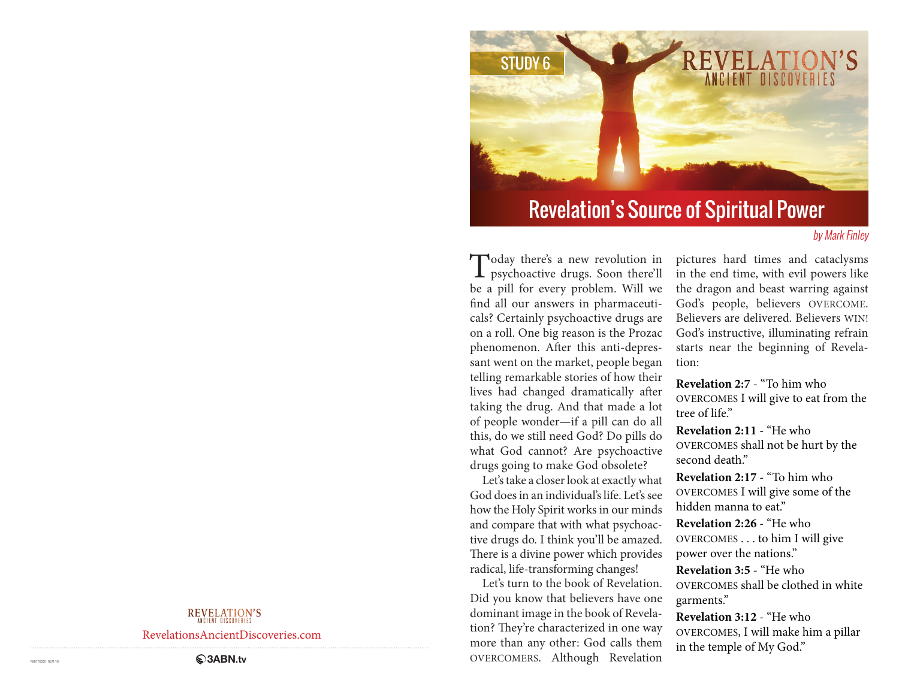

# Revelation's Source of Spiritual Power

### by Mark Finley

Today there's a new revolution in psychoactive drugs. Soon there'll be a pill for every problem. Will we find all our answers in pharmaceuticals? Certainly psychoactive drugs are on a roll. One big reason is the Prozac phenomenon. After this anti-depressant went on the market, people began telling remarkable stories of how their lives had changed dramatically after taking the drug. And that made a lot of people wonder—if a pill can do all this, do we still need God? Do pills do what God cannot? Are psychoactive drugs going to make God obsolete?

Let's take a closer look at exactly what God does in an individual's life. Let's see how the Holy Spirit works in our minds and compare that with what psychoactive drugs do. I think you'll be amazed. There is a divine power which provides radical, life-transforming changes!

Let's turn to the book of Revelation. Did you know that believers have one dominant image in the book of Revelation? They're characterized in one way more than any other: God calls them OVERCOMERS. Although Revelation

pictures hard times and cataclysms in the end time, with evil powers like the dragon and beast warring against God's people, believers OVERCOME. Believers are delivered. Believers WIN! God's instructive, illuminating refrain starts near the beginning of Revelation:

**Revelation 2:7** - "To him who OVERCOMES I will give to eat from the tree of life."

**Revelation 2:11** - "He who OVERCOMES shall not be hurt by the second death."

**Revelation 2:17** - "To him who OVERCOMES I will give some of the hidden manna to eat."

**Revelation 2:26** - "He who OVERCOMES . . . to him I will give power over the nations."

**Revelation 3:5** - "He who OVERCOMES shall be clothed in white garments."

**Revelation 3:12** - "He who OVERCOMES, I will make him a pillar in the temple of My God."

### **REVELATION'S**

RevelationsAncientDiscoveries.com

**RABIN.tv**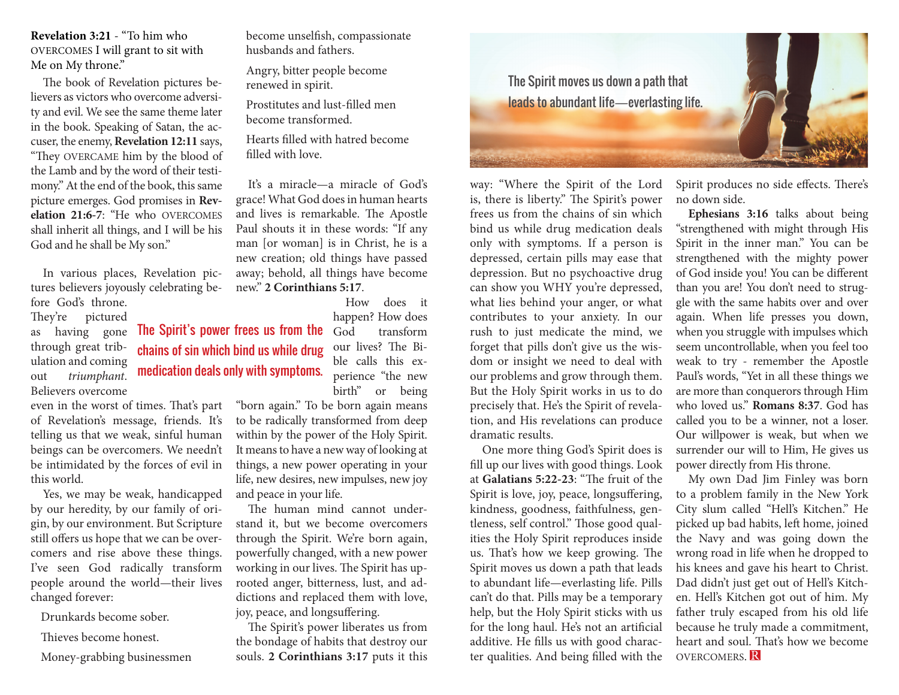**Revelation 3:21** - "To him who OVERCOMES I will grant to sit with Me on My throne."

The book of Revelation pictures believers as victors who overcome adversity and evil. We see the same theme later in the book. Speaking of Satan, the accuser, the enemy, **Revelation 12:11** says, "They OVERCAME him by the blood of the Lamb and by the word of their testimony." At the end of the book, this same picture emerges. God promises in **Revelation 21:6-7**: "He who OVERCOMES shall inherit all things, and I will be his God and he shall be My son."

In various places, Revelation pictures believers joyously celebrating before God's throne.

> chains of sin which bind us while drug medication deals only with symptoms.

They're pictured as having gone through great tribulation and coming out *triumphant*. Believers overcome

even in the worst of times. That's part of Revelation's message, friends. It's telling us that we weak, sinful human beings can be overcomers. We needn't be intimidated by the forces of evil in this world.

Yes, we may be weak, handicapped by our heredity, by our family of origin, by our environment. But Scripture still offers us hope that we can be overcomers and rise above these things. I've seen God radically transform people around the world—their lives changed forever:

Drunkards become sober.

Thieves become honest.

Money-grabbing businessmen

become unselfish, compassionate husbands and fathers.

Angry, bitter people become renewed in spirit.

Prostitutes and lust-filled men become transformed.

Hearts filled with hatred become filled with love.

It's a miracle—a miracle of God's grace! What God does in human hearts and lives is remarkable. The Apostle Paul shouts it in these words: "If any man [or woman] is in Christ, he is a new creation; old things have passed away; behold, all things have become new." **2 Corinthians 5:17**.

How does it

happen? How does transform our lives? The Bible calls this experience "the new birth" or being The Spirit's power frees us from the  $\overrightarrow{God}$ 

"born again." To be born again means to be radically transformed from deep within by the power of the Holy Spirit. It means to have a new way of looking at things, a new power operating in your life, new desires, new impulses, new joy and peace in your life.

The human mind cannot understand it, but we become overcomers through the Spirit. We're born again, powerfully changed, with a new power working in our lives. The Spirit has uprooted anger, bitterness, lust, and addictions and replaced them with love, joy, peace, and longsuffering.

The Spirit's power liberates us from the bondage of habits that destroy our souls. **2 Corinthians 3:17** puts it this



way: "Where the Spirit of the Lord is, there is liberty." The Spirit's power frees us from the chains of sin which bind us while drug medication deals only with symptoms. If a person is depressed, certain pills may ease that depression. But no psychoactive drug can show you WHY you're depressed, what lies behind your anger, or what contributes to your anxiety. In our rush to just medicate the mind, we forget that pills don't give us the wisdom or insight we need to deal with our problems and grow through them. But the Holy Spirit works in us to do precisely that. He's the Spirit of revelation, and His revelations can produce dramatic results.

One more thing God's Spirit does is fill up our lives with good things. Look at **Galatians 5:22-23**: "The fruit of the Spirit is love, joy, peace, longsuffering, kindness, goodness, faithfulness, gentleness, self control." Those good qualities the Holy Spirit reproduces inside us. That's how we keep growing. The Spirit moves us down a path that leads to abundant life—everlasting life. Pills can't do that. Pills may be a temporary help, but the Holy Spirit sticks with us for the long haul. He's not an artificial additive. He fills us with good character qualities. And being filled with the

Spirit produces no side effects. There's no down side.

**Ephesians 3:16** talks about being "strengthened with might through His Spirit in the inner man." You can be strengthened with the mighty power of God inside you! You can be different than you are! You don't need to struggle with the same habits over and over again. When life presses you down, when you struggle with impulses which seem uncontrollable, when you feel too weak to try - remember the Apostle Paul's words, "Yet in all these things we are more than conquerors through Him who loved us." **Romans 8:37**. God has called you to be a winner, not a loser. Our willpower is weak, but when we surrender our will to Him, He gives us power directly from His throne.

My own Dad Jim Finley was born to a problem family in the New York City slum called "Hell's Kitchen." He picked up bad habits, left home, joined the Navy and was going down the wrong road in life when he dropped to his knees and gave his heart to Christ. Dad didn't just get out of Hell's Kitchen. Hell's Kitchen got out of him. My father truly escaped from his old life because he truly made a commitment, heart and soul. That's how we become OVERCOMERS. R